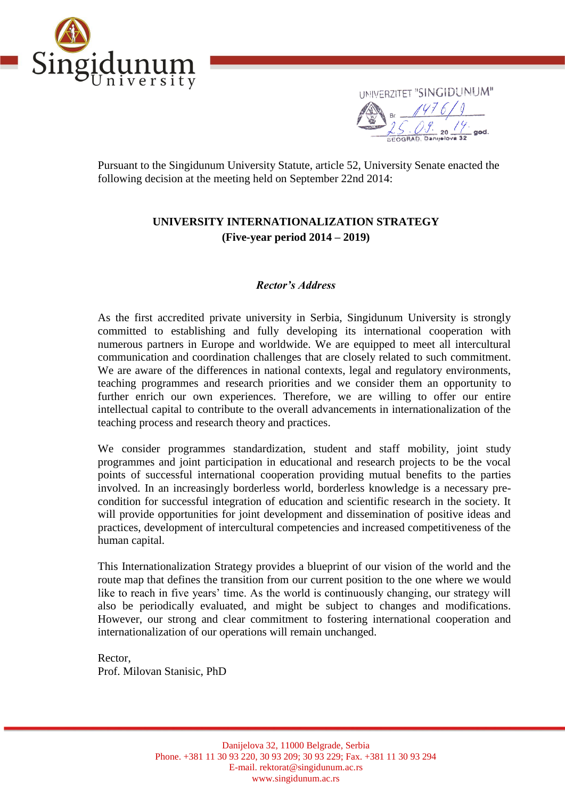



Pursuant to the Singidunum University Statute, article 52, University Senate enacted the following decision at the meeting held on September 22nd 2014:

# **UNIVERSITY INTERNATIONALIZATION STRATEGY (Five-year period 2014 – 2019)**

## *Rector's Address*

As the first accredited private university in Serbia, Singidunum University is strongly committed to establishing and fully developing its international cooperation with numerous partners in Europe and worldwide. We are equipped to meet all intercultural communication and coordination challenges that are closely related to such commitment. We are aware of the differences in national contexts, legal and regulatory environments, teaching programmes and research priorities and we consider them an opportunity to further enrich our own experiences. Therefore, we are willing to offer our entire intellectual capital to contribute to the overall advancements in internationalization of the teaching process and research theory and practices.

We consider programmes standardization, student and staff mobility, joint study programmes and joint participation in educational and research projects to be the vocal points of successful international cooperation providing mutual benefits to the parties involved. In an increasingly borderless world, borderless knowledge is a necessary precondition for successful integration of education and scientific research in the society. It will provide opportunities for joint development and dissemination of positive ideas and practices, development of intercultural competencies and increased competitiveness of the human capital.

This Internationalization Strategy provides a blueprint of our vision of the world and the route map that defines the transition from our current position to the one where we would like to reach in five years' time. As the world is continuously changing, our strategy will also be periodically evaluated, and might be subject to changes and modifications. However, our strong and clear commitment to fostering international cooperation and internationalization of our operations will remain unchanged.

Rector, Prof. Milovan Stanisic, PhD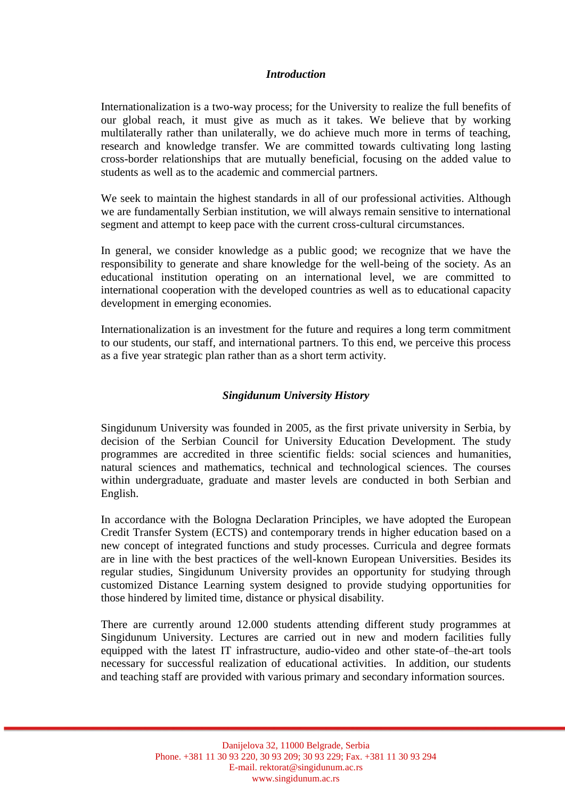#### *Introduction*

Internationalization is a two-way process; for the University to realize the full benefits of our global reach, it must give as much as it takes. We believe that by working multilaterally rather than unilaterally, we do achieve much more in terms of teaching, research and knowledge transfer. We are committed towards cultivating long lasting cross-border relationships that are mutually beneficial, focusing on the added value to students as well as to the academic and commercial partners.

We seek to maintain the highest standards in all of our professional activities. Although we are fundamentally Serbian institution, we will always remain sensitive to international segment and attempt to keep pace with the current cross-cultural circumstances.

In general, we consider knowledge as a public good; we recognize that we have the responsibility to generate and share knowledge for the well-being of the society. As an educational institution operating on an international level, we are committed to international cooperation with the developed countries as well as to educational capacity development in emerging economies.

Internationalization is an investment for the future and requires a long term commitment to our students, our staff, and international partners. To this end, we perceive this process as a five year strategic plan rather than as a short term activity.

## *Singidunum University History*

Singidunum University was founded in 2005, as the first private university in Serbia, by decision of the Serbian Council for University Education Development. The study programmes are accredited in three scientific fields: social sciences and humanities, natural sciences and mathematics, technical and technological sciences. The courses within undergraduate, graduate and master levels are conducted in both Serbian and English.

In accordance with the Bologna Declaration Principles, we have adopted the European Credit Transfer System (ECTS) and contemporary trends in higher education based on a new concept of integrated functions and study processes. Curricula and degree formats are in line with the best practices of the well-known European Universities. Besides its regular studies, Singidunum University provides an opportunity for studying through customized Distance Learning system designed to provide studying opportunities for those hindered by limited time, distance or physical disability.

There are currently around 12.000 students attending different study programmes at Singidunum University. Lectures are carried out in new and modern facilities fully equipped with the latest IT infrastructure, audio-video and other state-of–the-art tools necessary for successful realization of educational activities. In addition, our students and teaching staff are provided with various primary and secondary information sources.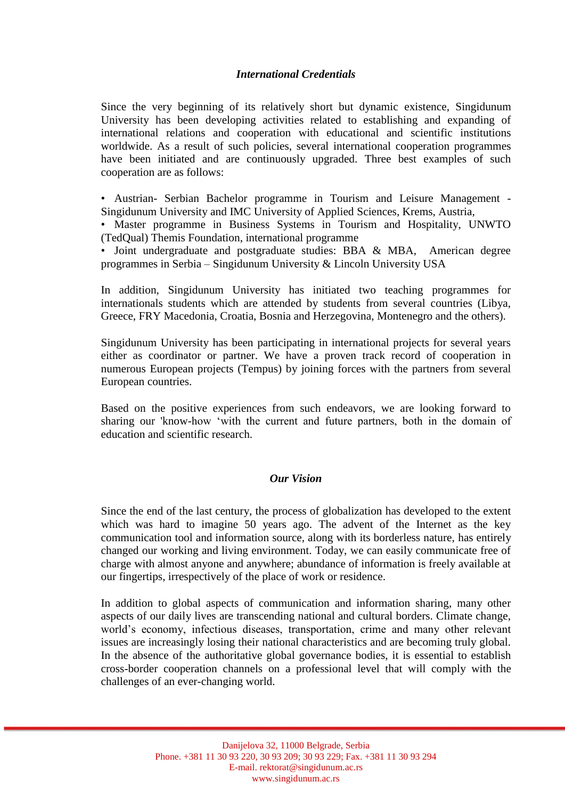## *International Credentials*

Since the very beginning of its relatively short but dynamic existence, Singidunum University has been developing activities related to establishing and expanding of international relations and cooperation with educational and scientific institutions worldwide. As a result of such policies, several international cooperation programmes have been initiated and are continuously upgraded. Three best examples of such cooperation are as follows:

• Austrian- Serbian Bachelor programme in Tourism and Leisure Management - Singidunum University and IMC University of Applied Sciences, Krems, Austria,

• Master programme in Business Systems in Tourism and Hospitality, UNWTO (TedQual) Themis Foundation, international programme

• Joint undergraduate and postgraduate studies: BBA & MBA, American degree programmes in Serbia – Singidunum University & Lincoln University USA

In addition, Singidunum University has initiated two teaching programmes for internationals students which are attended by students from several countries (Libya, Greece, FRY Macedonia, Croatia, Bosnia and Herzegovina, Montenegro and the others).

Singidunum University has been participating in international projects for several years either as coordinator or partner. We have a proven track record of cooperation in numerous European projects (Tempus) by joining forces with the partners from several European countries.

Based on the positive experiences from such endeavors, we are looking forward to sharing our 'know-how 'with the current and future partners, both in the domain of education and scientific research.

### *Our Vision*

Since the end of the last century, the process of globalization has developed to the extent which was hard to imagine 50 years ago. The advent of the Internet as the key communication tool and information source, along with its borderless nature, has entirely changed our working and living environment. Today, we can easily communicate free of charge with almost anyone and anywhere; abundance of information is freely available at our fingertips, irrespectively of the place of work or residence.

In addition to global aspects of communication and information sharing, many other aspects of our daily lives are transcending national and cultural borders. Climate change, world's economy, infectious diseases, transportation, crime and many other relevant issues are increasingly losing their national characteristics and are becoming truly global. In the absence of the authoritative global governance bodies, it is essential to establish cross-border cooperation channels on a professional level that will comply with the challenges of an ever-changing world.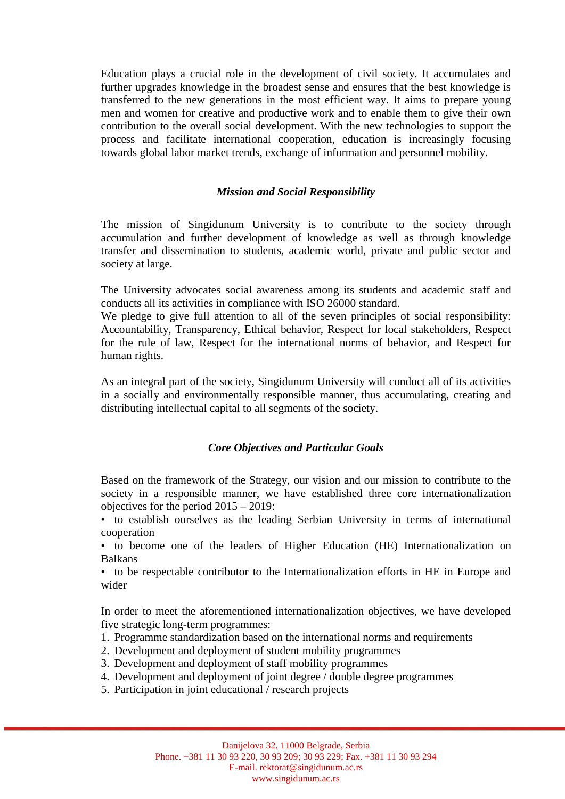Education plays a crucial role in the development of civil society. It accumulates and further upgrades knowledge in the broadest sense and ensures that the best knowledge is transferred to the new generations in the most efficient way. It aims to prepare young men and women for creative and productive work and to enable them to give their own contribution to the overall social development. With the new technologies to support the process and facilitate international cooperation, education is increasingly focusing towards global labor market trends, exchange of information and personnel mobility.

## *Mission and Social Responsibility*

The mission of Singidunum University is to contribute to the society through accumulation and further development of knowledge as well as through knowledge transfer and dissemination to students, academic world, private and public sector and society at large.

The University advocates social awareness among its students and academic staff and conducts all its activities in compliance with ISO 26000 standard.

We pledge to give full attention to all of the seven principles of social responsibility: Accountability, Transparency, Ethical behavior, Respect for local stakeholders, Respect for the rule of law, Respect for the international norms of behavior, and Respect for human rights.

As an integral part of the society, Singidunum University will conduct all of its activities in a socially and environmentally responsible manner, thus accumulating, creating and distributing intellectual capital to all segments of the society.

## *Core Objectives and Particular Goals*

Based on the framework of the Strategy, our vision and our mission to contribute to the society in a responsible manner, we have established three core internationalization objectives for the period 2015 – 2019:

• to establish ourselves as the leading Serbian University in terms of international cooperation

• to become one of the leaders of Higher Education (HE) Internationalization on Balkans

• to be respectable contributor to the Internationalization efforts in HE in Europe and wider

In order to meet the aforementioned internationalization objectives, we have developed five strategic long-term programmes:

- 1. Programme standardization based on the international norms and requirements
- 2. Development and deployment of student mobility programmes
- 3. Development and deployment of staff mobility programmes
- 4. Development and deployment of joint degree / double degree programmes
- 5. Participation in joint educational / research projects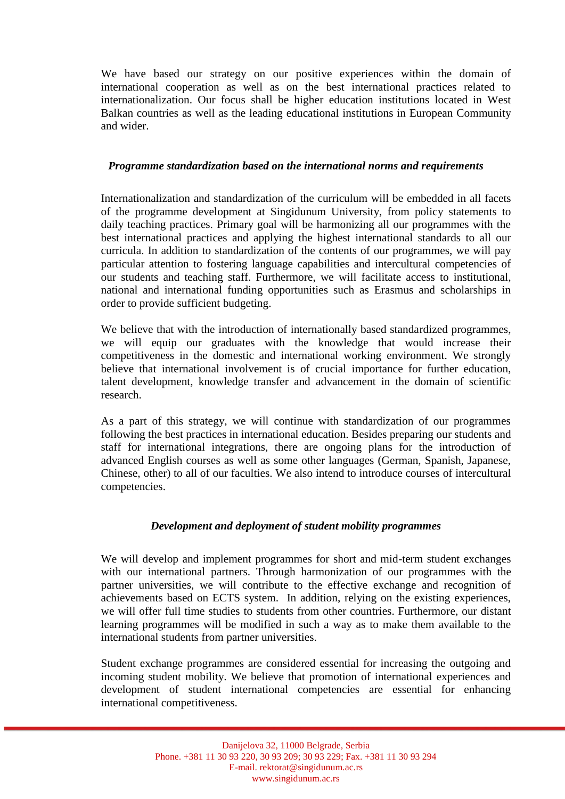We have based our strategy on our positive experiences within the domain of international cooperation as well as on the best international practices related to internationalization. Our focus shall be higher education institutions located in West Balkan countries as well as the leading educational institutions in European Community and wider.

## *Programme standardization based on the international norms and requirements*

Internationalization and standardization of the curriculum will be embedded in all facets of the programme development at Singidunum University, from policy statements to daily teaching practices. Primary goal will be harmonizing all our programmes with the best international practices and applying the highest international standards to all our curricula. In addition to standardization of the contents of our programmes, we will pay particular attention to fostering language capabilities and intercultural competencies of our students and teaching staff. Furthermore, we will facilitate access to institutional, national and international funding opportunities such as Erasmus and scholarships in order to provide sufficient budgeting.

We believe that with the introduction of internationally based standardized programmes, we will equip our graduates with the knowledge that would increase their competitiveness in the domestic and international working environment. We strongly believe that international involvement is of crucial importance for further education, talent development, knowledge transfer and advancement in the domain of scientific research.

As a part of this strategy, we will continue with standardization of our programmes following the best practices in international education. Besides preparing our students and staff for international integrations, there are ongoing plans for the introduction of advanced English courses as well as some other languages (German, Spanish, Japanese, Chinese, other) to all of our faculties. We also intend to introduce courses of intercultural competencies.

## *Development and deployment of student mobility programmes*

We will develop and implement programmes for short and mid-term student exchanges with our international partners. Through harmonization of our programmes with the partner universities, we will contribute to the effective exchange and recognition of achievements based on ECTS system. In addition, relying on the existing experiences, we will offer full time studies to students from other countries. Furthermore, our distant learning programmes will be modified in such a way as to make them available to the international students from partner universities.

Student exchange programmes are considered essential for increasing the outgoing and incoming student mobility. We believe that promotion of international experiences and development of student international competencies are essential for enhancing international competitiveness.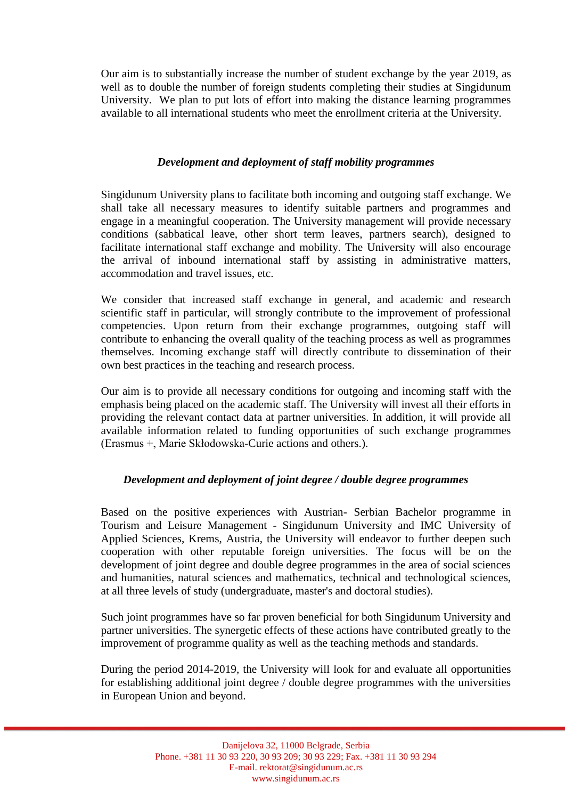Our aim is to substantially increase the number of student exchange by the year 2019, as well as to double the number of foreign students completing their studies at Singidunum University. We plan to put lots of effort into making the distance learning programmes available to all international students who meet the enrollment criteria at the University.

## *Development and deployment of staff mobility programmes*

Singidunum University plans to facilitate both incoming and outgoing staff exchange. We shall take all necessary measures to identify suitable partners and programmes and engage in a meaningful cooperation. The University management will provide necessary conditions (sabbatical leave, other short term leaves, partners search), designed to facilitate international staff exchange and mobility. The University will also encourage the arrival of inbound international staff by assisting in administrative matters, accommodation and travel issues, etc.

We consider that increased staff exchange in general, and academic and research scientific staff in particular, will strongly contribute to the improvement of professional competencies. Upon return from their exchange programmes, outgoing staff will contribute to enhancing the overall quality of the teaching process as well as programmes themselves. Incoming exchange staff will directly contribute to dissemination of their own best practices in the teaching and research process.

Our aim is to provide all necessary conditions for outgoing and incoming staff with the emphasis being placed on the academic staff. The University will invest all their efforts in providing the relevant contact data at partner universities. In addition, it will provide all available information related to funding opportunities of such exchange programmes (Erasmus +, Marie Skłodowska-Curie actions and others.).

## *Development and deployment of joint degree / double degree programmes*

Based on the positive experiences with Austrian- Serbian Bachelor programme in Tourism and Leisure Management - Singidunum University and IMC University of Applied Sciences, Krems, Austria, the University will endeavor to further deepen such cooperation with other reputable foreign universities. The focus will be on the development of joint degree and double degree programmes in the area of social sciences and humanities, natural sciences and mathematics, technical and technological sciences, at all three levels of study (undergraduate, master's and doctoral studies).

Such joint programmes have so far proven beneficial for both Singidunum University and partner universities. The synergetic effects of these actions have contributed greatly to the improvement of programme quality as well as the teaching methods and standards.

During the period 2014-2019, the University will look for and evaluate all opportunities for establishing additional joint degree / double degree programmes with the universities in European Union and beyond.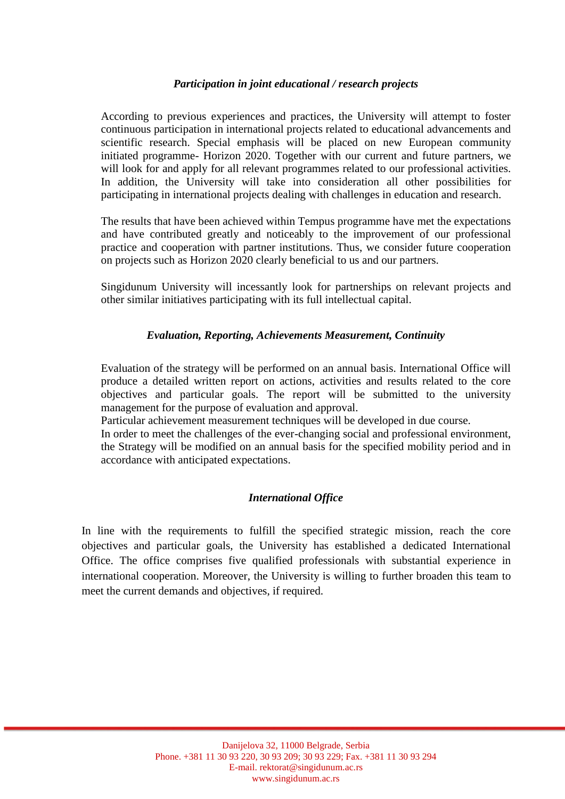## *Participation in joint educational / research projects*

According to previous experiences and practices, the University will attempt to foster continuous participation in international projects related to educational advancements and scientific research. Special emphasis will be placed on new European community initiated programme- Horizon 2020. Together with our current and future partners, we will look for and apply for all relevant programmes related to our professional activities. In addition, the University will take into consideration all other possibilities for participating in international projects dealing with challenges in education and research.

The results that have been achieved within Tempus programme have met the expectations and have contributed greatly and noticeably to the improvement of our professional practice and cooperation with partner institutions. Thus, we consider future cooperation on projects such as Horizon 2020 clearly beneficial to us and our partners.

Singidunum University will incessantly look for partnerships on relevant projects and other similar initiatives participating with its full intellectual capital.

### *Evaluation, Reporting, Achievements Measurement, Continuity*

Evaluation of the strategy will be performed on an annual basis. International Office will produce a detailed written report on actions, activities and results related to the core objectives and particular goals. The report will be submitted to the university management for the purpose of evaluation and approval.

Particular achievement measurement techniques will be developed in due course.

In order to meet the challenges of the ever-changing social and professional environment, the Strategy will be modified on an annual basis for the specified mobility period and in accordance with anticipated expectations.

### *International Office*

In line with the requirements to fulfill the specified strategic mission, reach the core objectives and particular goals, the University has established a dedicated International Office. The office comprises five qualified professionals with substantial experience in international cooperation. Moreover, the University is willing to further broaden this team to meet the current demands and objectives, if required.